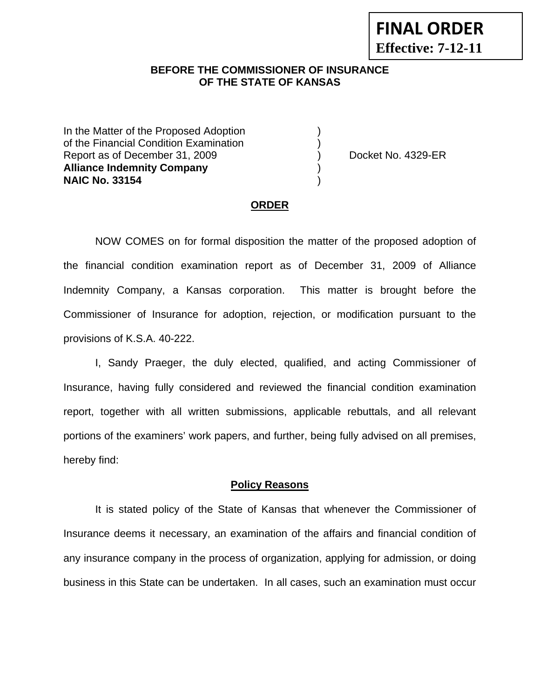### **BEFORE THE COMMISSIONER OF INSURANCE OF THE STATE OF KANSAS**

In the Matter of the Proposed Adoption of the Financial Condition Examination ) Report as of December 31, 2009 (and Contact Contact Contact No. 4329-ER **Alliance Indemnity Company** ) **NAIC No. 33154** )

#### **ORDER**

 NOW COMES on for formal disposition the matter of the proposed adoption of the financial condition examination report as of December 31, 2009 of Alliance Indemnity Company, a Kansas corporation. This matter is brought before the Commissioner of Insurance for adoption, rejection, or modification pursuant to the provisions of K.S.A. 40-222.

 I, Sandy Praeger, the duly elected, qualified, and acting Commissioner of Insurance, having fully considered and reviewed the financial condition examination report, together with all written submissions, applicable rebuttals, and all relevant portions of the examiners' work papers, and further, being fully advised on all premises, hereby find:

#### **Policy Reasons**

 It is stated policy of the State of Kansas that whenever the Commissioner of Insurance deems it necessary, an examination of the affairs and financial condition of any insurance company in the process of organization, applying for admission, or doing business in this State can be undertaken. In all cases, such an examination must occur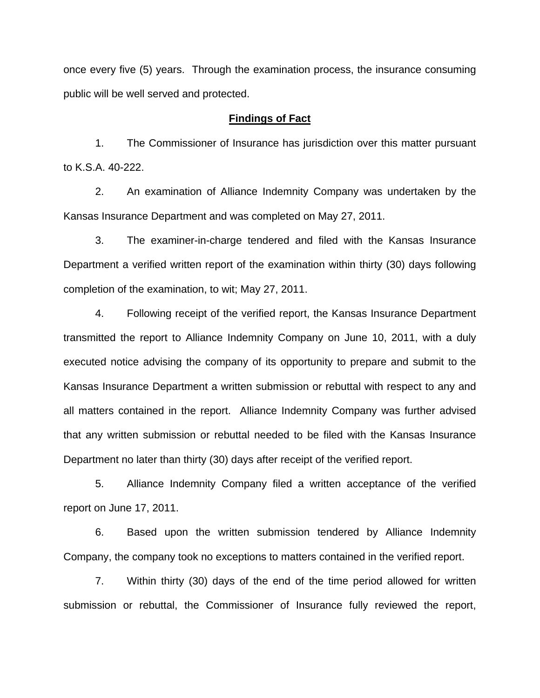once every five (5) years. Through the examination process, the insurance consuming public will be well served and protected.

### **Findings of Fact**

 1. The Commissioner of Insurance has jurisdiction over this matter pursuant to K.S.A. 40-222.

 2. An examination of Alliance Indemnity Company was undertaken by the Kansas Insurance Department and was completed on May 27, 2011.

 3. The examiner-in-charge tendered and filed with the Kansas Insurance Department a verified written report of the examination within thirty (30) days following completion of the examination, to wit; May 27, 2011.

 4. Following receipt of the verified report, the Kansas Insurance Department transmitted the report to Alliance Indemnity Company on June 10, 2011, with a duly executed notice advising the company of its opportunity to prepare and submit to the Kansas Insurance Department a written submission or rebuttal with respect to any and all matters contained in the report. Alliance Indemnity Company was further advised that any written submission or rebuttal needed to be filed with the Kansas Insurance Department no later than thirty (30) days after receipt of the verified report.

 5. Alliance Indemnity Company filed a written acceptance of the verified report on June 17, 2011.

6. Based upon the written submission tendered by Alliance Indemnity Company, the company took no exceptions to matters contained in the verified report.

 7. Within thirty (30) days of the end of the time period allowed for written submission or rebuttal, the Commissioner of Insurance fully reviewed the report,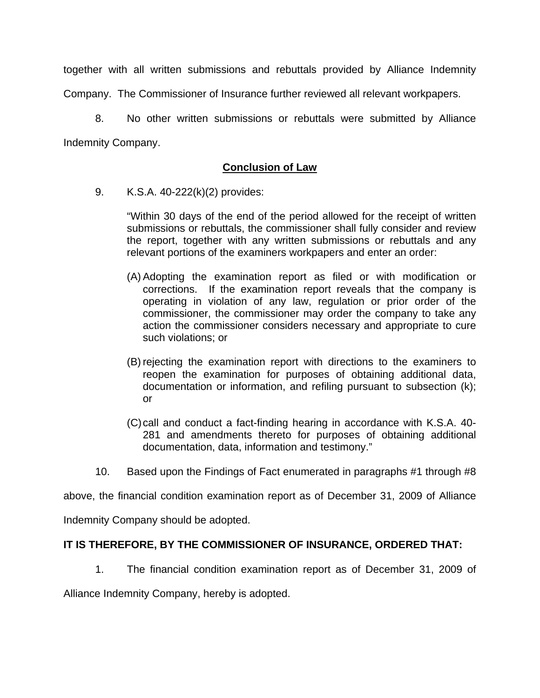together with all written submissions and rebuttals provided by Alliance Indemnity Company. The Commissioner of Insurance further reviewed all relevant workpapers.

 8. No other written submissions or rebuttals were submitted by Alliance Indemnity Company.

## **Conclusion of Law**

9. K.S.A. 40-222(k)(2) provides:

"Within 30 days of the end of the period allowed for the receipt of written submissions or rebuttals, the commissioner shall fully consider and review the report, together with any written submissions or rebuttals and any relevant portions of the examiners workpapers and enter an order:

- (A) Adopting the examination report as filed or with modification or corrections. If the examination report reveals that the company is operating in violation of any law, regulation or prior order of the commissioner, the commissioner may order the company to take any action the commissioner considers necessary and appropriate to cure such violations; or
- (B) rejecting the examination report with directions to the examiners to reopen the examination for purposes of obtaining additional data, documentation or information, and refiling pursuant to subsection (k); or
- (C) call and conduct a fact-finding hearing in accordance with K.S.A. 40- 281 and amendments thereto for purposes of obtaining additional documentation, data, information and testimony."
- 10. Based upon the Findings of Fact enumerated in paragraphs #1 through #8

above, the financial condition examination report as of December 31, 2009 of Alliance

Indemnity Company should be adopted.

### **IT IS THEREFORE, BY THE COMMISSIONER OF INSURANCE, ORDERED THAT:**

1. The financial condition examination report as of December 31, 2009 of

Alliance Indemnity Company, hereby is adopted.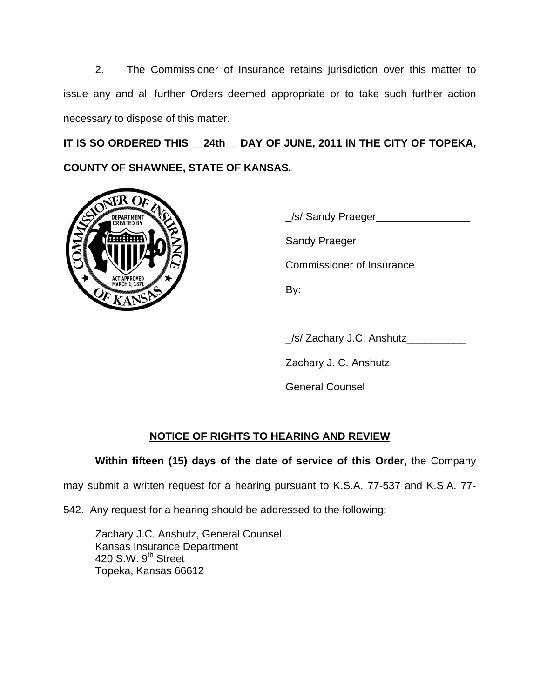2. The Commissioner of Insurance retains jurisdiction over this matter to issue any and all further Orders deemed appropriate or to take such further action necessary to dispose of this matter.

**IT IS SO ORDERED THIS \_\_24th\_\_ DAY OF JUNE, 2011 IN THE CITY OF TOPEKA, COUNTY OF SHAWNEE, STATE OF KANSAS.** 



 \_/s/ Sandy Praeger\_\_\_\_\_\_\_\_\_\_\_\_\_\_\_\_ Sandy Praeger Commissioner of Insurance

\_/s/ Zachary J.C. Anshutz\_\_\_\_\_\_\_\_\_\_

Zachary J. C. Anshutz

General Counsel

# **NOTICE OF RIGHTS TO HEARING AND REVIEW**

## **Within fifteen (15) days of the date of service of this Order,** the Company

may submit a written request for a hearing pursuant to K.S.A. 77-537 and K.S.A. 77-

542. Any request for a hearing should be addressed to the following:

 Zachary J.C. Anshutz, General Counsel Kansas Insurance Department 420 S.W.  $9<sup>th</sup>$  Street Topeka, Kansas 66612